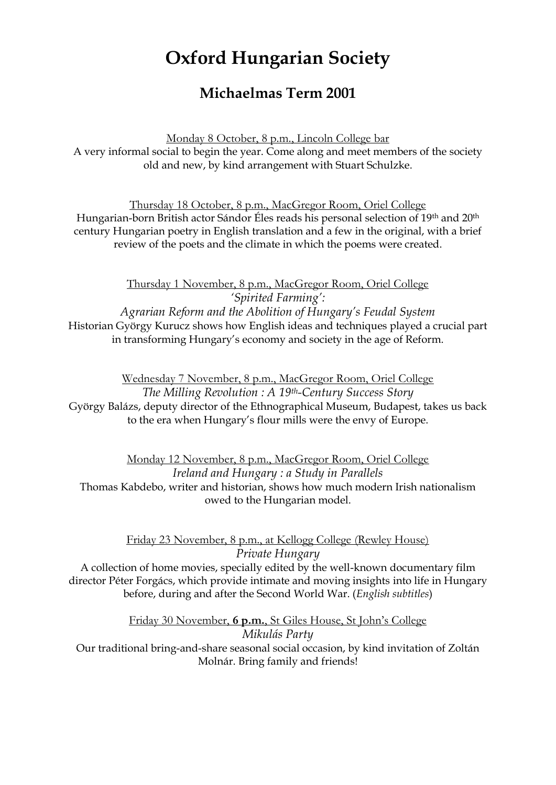## **Oxford Hungarian Society**

## **Michaelmas Term 2001**

Monday 8 October, 8 p.m., Lincoln College bar A very informal social to begin the year. Come along and meet members of the society old and new, by kind arrangement with Stuart Schulzke.

Thursday 18 October, 8 p.m., MacGregor Room, Oriel College Hungarian-born British actor Sándor Éles reads his personal selection of 19<sup>th</sup> and 20<sup>th</sup> century Hungarian poetry in English translation and a few in the original, with a brief review of the poets and the climate in which the poems were created.

Thursday 1 November, 8 p.m., MacGregor Room, Oriel College *'Spirited Farming': Agrarian Reform and the Abolition of Hungary's Feudal System* Historian György Kurucz shows how English ideas and techniques played a crucial part in transforming Hungary's economy and society in the age of Reform.

Wednesday 7 November, 8 p.m., MacGregor Room, Oriel College *The Milling Revolution : A 19th-Century Success Story* György Balázs, deputy director of the Ethnographical Museum, Budapest, takes us back to the era when Hungary's flour mills were the envy of Europe.

Monday 12 November, 8 p.m., MacGregor Room, Oriel College *Ireland and Hungary : a Study in Parallels* Thomas Kabdebo, writer and historian, shows how much modern Irish nationalism owed to the Hungarian model.

> Friday 23 November, 8 p.m., at Kellogg College (Rewley House) *Private Hungary*

A collection of home movies, specially edited by the well-known documentary film director Péter Forgács, which provide intimate and moving insights into life in Hungary before, during and after the Second World War. (*English subtitles*)

Friday 30 November, **6 p.m.**, St Giles House, St John's College *Mikulás Party* Our traditional bring-and-share seasonal social occasion, by kind invitation of Zoltán Molnár. Bring family and friends!